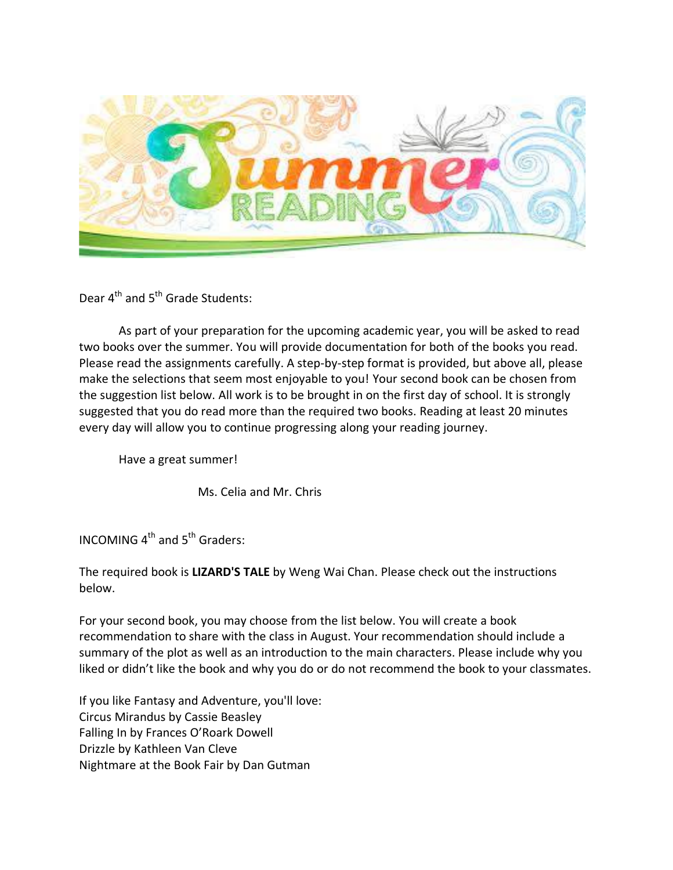

Dear  $4^{th}$  and  $5^{th}$  Grade Students:

As part of your preparation for the upcoming academic year, you will be asked to read two books over the summer. You will provide documentation for both of the books you read. Please read the assignments carefully. A step-by-step format is provided, but above all, please make the selections that seem most enjoyable to you! Your second book can be chosen from the suggestion list below. All work is to be brought in on the first day of school. It is strongly suggested that you do read more than the required two books. Reading at least 20 minutes every day will allow you to continue progressing along your reading journey.

Have a great summer!

Ms. Celia and Mr. Chris

INCOMING  $4^{th}$  and  $5^{th}$  Graders:

The required book is **LIZARD'S TALE** by Weng Wai Chan. Please check out the instructions below.

For your second book, you may choose from the list below. You will create a book recommendation to share with the class in August. Your recommendation should include a summary of the plot as well as an introduction to the main characters. Please include why you liked or didn't like the book and why you do or do not recommend the book to your classmates.

If you like Fantasy and Adventure, you'll love: Circus Mirandus by Cassie Beasley Falling In by Frances O'Roark Dowell Drizzle by Kathleen Van Cleve Nightmare at the Book Fair by Dan Gutman